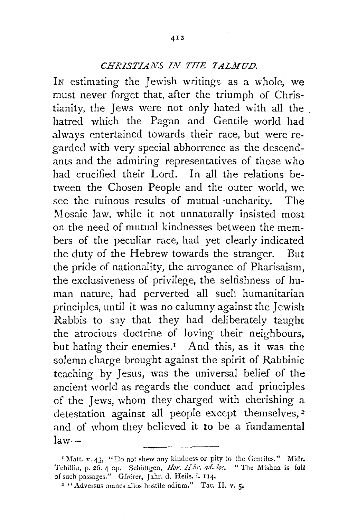## *CHRISTIANS IN THE TALMUD.*

IN estimating the Jewish writings as a whole, we must never forget that, after the triumph of Christianity, the Jews were not only hated with all the . hatred which the Pagan and Gentile world had always entertained towards their race, but were regarded with very special abhorrence as the descendants and the admiring representatives of those who had crucified their Lord. In all the relations between the Chosen People and the outer world, we see the ruinous results of mutual ·uncharity. The Mosaic law, while it not unnaturally insisted most on the need of mutual kindnesses between the members of the peculiar race, had yet clearly indicated the duty of the Hebrew towards the stranger. But the pride of nationality, the arrogance of Pharisaism, the exclusiveness of privilege, the selfishness of human nature, had perverted all such humanitarian principles, until it was no calumny against the Jewish Rabbis to say that they had deliberately taught the atrocious doctrine of loving their neighbours, but hating their enemies.<sup>1</sup> And this, as it was the solemn charge brought against the spirit of Rabbinic teaching by Jesus, was the universal belief of the ancient world as regards the conduct and principles of the Jews, whom they charged with cherishing a detestation against all people except themselves, *z*  and of whom they believed it to be a fundamental  $law-$ 

<sup>&</sup>lt;sup>1</sup> Matt. v. 43, "Do not shew any kindness or pity to the Gentiles." Midr. Tehillin, p. 26. 4 ap. Schöttgen, *Hor. H:br. ad. los.* " The Mishna is full of such passages." Gfrörer, Jahr. d. Heils. i. 114.

 $\sim$  "Adversus omnes alios hostile odium." Tac. H. v. 5.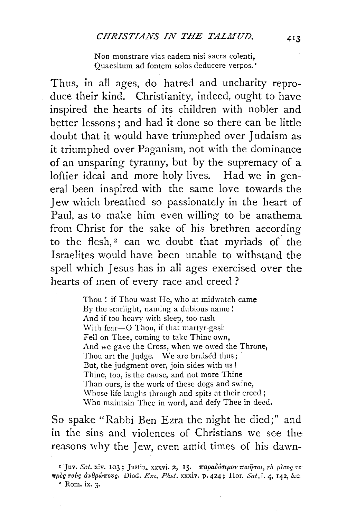Non monstrare vias eadem nisi sacra colenti, Quaesitum ad fontem solos deducere verpos.<sup>1</sup>

Thus, in all ages, do hatred and uncharity reproduce their kind. Christianity, indeed, ought to have inspired the hearts of its children with nobler and better lessons; and had it done so there can be little doubt that it would have triumphed over Judaism as it triumphed over Paganism, not with the dominance of an unsparing tyranny, but by the supremacy of a loftier ideal and more holy lives. Had we in general been inspired with the same love towards the Jew which breathed so passionately in the heart of Paul, as to make him even willing to be anathema from Christ for the sake of his brethren according to the flesh,<sup>2</sup> can we doubt that myriads of the Israelites would have been unable to withstand the spell which Jesus has in all ages exercised over the hearts of men of every race and creed ?

> Thou ! if Thou wast He, who at midwatch came By the starlight, naming a dubious name! And if too heavy with sleep, too rash With fear-O Thou, if that martyr-gash Fell on Thee, coming to take Thine own, And we gave the Cross, when we owed the Throne, Thou art the Judge. We are bruised thus; But, the judgment over, join sides with us ! Thine, too, is the cause, and not more Thine Than ours, is the work of these dogs and swine, Whose life laughs through and spits at their creed; \Vho maintain Thee in word, and defy Thee in deed.

So spake "Rabbi Ben Ezra the night he died;" and in the sins and violences of Christians we see the reasons why the Jew, even amid times of his dawn-

<sup>&</sup>lt;sup>1</sup> Juv. Sat. xiv. 103; Justin, xxxvi. 2, 15. παραδόσιμον ποιήσαι, το μίσος το *"'Pooc τούς άνθρώπους.* Diod. *Exc. Phot.* xxxiv. p. 424; Hor. *Sat.* i. 4, 142, &c. <sup>2</sup> Rom. ix. 3.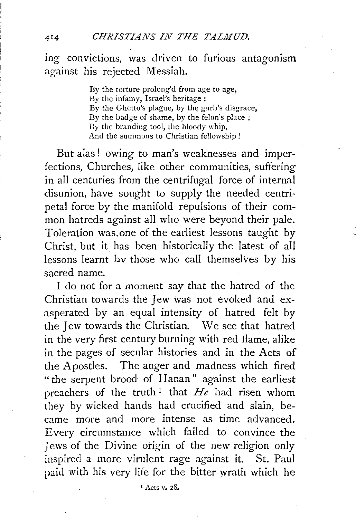ing convictions, was driven to furious antagonism against his rejected Messiah.

> By the torture prolong'd from age to age, By the infamy, Israel's heritage ; By the Ghetto's plague, by the garb's disgrace, By the badge of shame, by the felon's place; By the branding tool, the bloody whip, And the summons to Christian fellowship!

But alas! owing to man's weaknesses and imperfections, Churches, like other communities, suffering in all centuries from the centrifugal force of internal disunion, have sought to supply the needed centripetal force by the manifold repulsions of their common hatreds against all who were beyond their pale. Toleration was.one of the earliest lessons taught by Christ, but it has been historically the latest of all lessons learnt *bv* those who call themselves by his sacred name.

I do not for a moment say that the hatred of the Christian towards the Jew was not evoked and exasperated by an equal intensity of hatred felt by the Jew towards the Christian. We see that hatred in the very first century burning with red flame, alike in the pages of secular histories and in the Acts of the Apostles. The anger and madness which fired "the serpent brood of Hanan" against the earliest preachers of the truth 1 that *He* had risen whom they by wicked hands had crucified and slain, became more and more intense as time advanced. Every circumstance which failed to convince the Jews of the Divine origin of the new religion only inspired a more virulent rage against it. St. Paul paid with his very life for the bitter wrath which he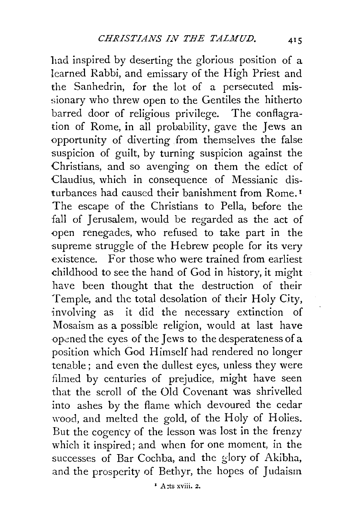had inspired by deserting the glorious position of a learned Rabbi, and emissary of the High Priest and the Sanhedrin, for the lot of a persecuted missionary who threw open to the Gentiles the hitherto barred door of religious privilege. The conflagration of Rome, in all probability, gave the Jews an opportunity of diverting from themselves the false suspicion of guilt, by turning suspicion against the Christians, and so avenging on them the edict of Claudius, which in consequence of Messianic disturbances had caused their banishment from Rome. 1 The escape of the Christians to Pella, before the fall of Jerusalem, would be regarded as the act of open renegades, who refused to take part in the supreme struggle of the Hebrew people for its very existence. For those who were trained from earliest childhood to see the hand of God in history, it might have been thought that the destruction of their Temple, and the total desolation of their Holy City, involving as it did the necessary extinction of Mosaism as a possible religion, would at last have opened the eyes of the Jews to the desperateness of a position which God Himself had rendered no longer tenable; and even the dullest eyes, unless they were filmed by centuries of prejudice, might have seen that the scroll of the Old Covenant was shrivelled into ashes by the flame which devoured the cedar wood, and melted the gold, of the Holy of Holies. But the cogency of the lesson was lost in the frenzy which it inspired; and when for one moment, in the successes of Bar Cochba, and the glory of Akibha, and the prosperity of Bethyr, the hopes of Judaism.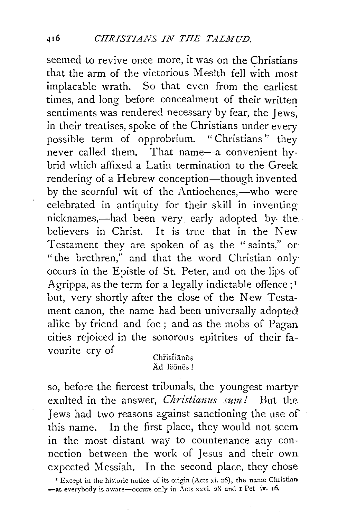seemed to revive once more, it was on the Christians that the arm of the victorious Mesith fell with most implacable wrath. So that even from the earliest times, and long before concealment of their written sentiments was rendered necessary by fear, the Jews. in their treatises, spoke of the Christians under every possible term of opprobrium. " Christians" they never called them. That name--a convenient hybrid which affixed a Latin termination to the Greek rendering of a Hebrew conception-though invented by the scornful wit of the Antiochenes,—who were celebrated in antiquity for their skill in inventing nicknames,—had been very early adopted by the believers in Christ. It is true that in the New Testament they are spoken of as the "saints," or· "the brethren," and that the word Christian only occurs in the Epistle of St. Peter, and on the lips of Agrippa, as the term for a legally indictable offence;<sup>1</sup> but, very shortly after the close of the New Testament canon, the name had been universally adopted alike by friend and foe ; and as the mobs of Pagan cities rejoiced in the sonorous epitrites of their favourite cry of

Christianos  $\bar{A}d$  lěōnēs!

so, before the fiercest tribunals, the youngest martyr exulted in the answer, *Christianus sum!* But the Jews had two reasons against sanctioning the use of this name. In the first place, they would not seem in the most distant way to countenance any connection between the work of Jesus and their own expected Messiah. In the second place, they chose

<sup>I</sup> Except in the historic notice of its origin (Acts xi. 26), the name Christian. -as everybody is aware-occurs only in Acts xxvi. 28 and I Pet iv. 16.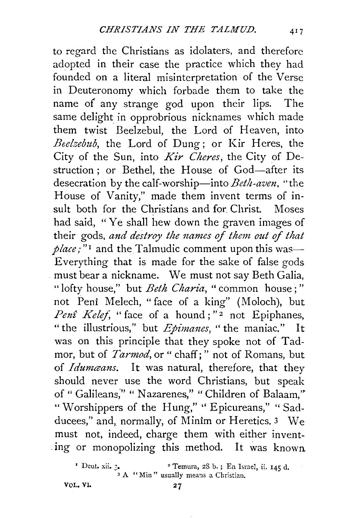to regard the Christians as idolaters, and therefore adopted in their case the practice which they had founded on a literal misinterpretation of the Verse in Deuteronomy which forbade them to take the name *o(* any strange god upon their lips. The same delight in opprobrious nicknames which made them twist Beelzebul, the Lord of Heaven, into *Beelzebub,* the Lord of Dung; or Kir Heres, the City of the Sun, into *Kir Cheres,* the City of Destruction : or Bethel, the House of God-after its desecration by the calf-worship-into *Beth-aven,* "the House of Vanity," made them invent terms of insult both for the Christians and for Christ. Moses had said, "Ye shall hew down the graven images of their gods, and destroy the names of them out of that  $place$ ;"<sup>1</sup> and the Talmudic comment upon this was-Everything that is made for the sake of false gods must bear a nickname. We must not say Beth Galia, "lofty house," but *Beth Charia,* "common house ; " not Peni Melech, "face of a king" (Moloch), but Penî Kelef, " face of a hound; "<sup>2</sup> not Epiphanes, "the illustrious," but *Epimanes,* "the maniac." It was on this principle that they spoke not of Tadmor, but of *Tarmod,* or " chaff; " not of Romans, but of *Idumcans*. It was natural, therefore, that they should never use the word Christians, but speak of " Galileans," " Nazarenes," " Children of Balaam," " Worshippers of the Hung," " Epicureans," " Sadducees," and, normally, of Minim or Heretics. 3 We must not, indeed, charge them with either invent- . ing or monopolizing this method. It was known

VOL. VI.

Peut. xii.  $\frac{3}{3}$  A "Min" usually means a Christian.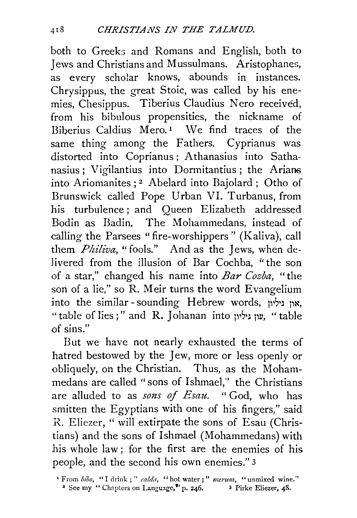both to Greeks and Romans and English, both to Jews and Christians and Mussulmans. Aristophanes, as every scholar knows, abounds in instances. Chrysippus, the great Stoic, was called by his enemies, Chesippus. Tiberius Claudius Nero received. from his bibulous propensities, the nickname of Biberius Caldius Mero.<sup>1</sup> We find traces of the same thing among the Fathers. Cyprianus was distorted into Coprianus; Athanasius into Sathanasius ; Vigilantius into Dormitantius ; the Arians into Ariomanites ; 2 Abelard into Bajolard ; Otho of Brunswick called Pope Urban VI. Turbanus, from his turbulence ; and Queen Elizabeth addressed Bodin as Badin. The Mohammedans, instead of calling the Parsees "fire-worshippers" (Kaliva), call them *Philiva*, "fools." And as the Jews, when delivered from the illusion of Bar Cochba, "the son of a star," changed his name into *Bar Cozba,* "the son of a lie," so R. Meir turns the word Evangelium into the similar-sounding Hebrew words, ואון גיליון, " table of lies ; " and R. **J** ohanan into p1S1J Ill', " table of sins."

But we have not nearly exhausted the terms of hatred bestowed by the Jew, more or less openly or obliquely, on the Christian. Thus, as the Mohammedans are called "sons of Ishmael," the Christians are alluded to as *sons* of *Esau.* " God, who has smitten the Egyptians with one of his fingers," said R. Eliezer, ''will extirpate the sons of Esau (Christians) and the sons of Ishmael (Mohammedans) with his whole law; for the first are the enemies of his people, and the second his own enemies." 3

<sup>&#</sup>x27; From bibo, "I drink;" calda, "hot water;" merum, "unmixed wine."

<sup>&</sup>lt;sup>2</sup> See my " Chapters on Language,<sup>9</sup>' p. 246. <sup>3</sup> Pirke Eliezer, 48.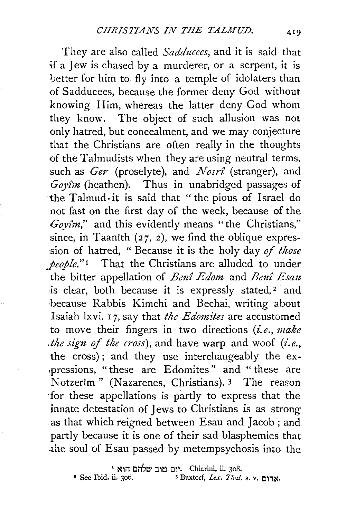They are also called *Sadducees,* and it is said that if a Jew is chased by a murderer, or a serpent, it is better for him to fly into a temple of idolaters than of Sadducees, because the former deny God without knowing Him, whereas the latter deny God whom they know. The object of such allusion was not only hatred, but concealment, and we may conjecture that the Christians are often really in the thoughts of the Talmudists when they are using neutral terms, such as *Ger* (proselyte), and *Nosr£* (stranger), and Goyîm (heathen). Thus in unabridged passages of the Talmud· it is said that "the pious of Israel do not fast on the first day of the week, because of the *Coytm,"* and this evidently means "the Christians," since, in Taanith  $(27, 2)$ , we find the oblique expression of hatred, " Because it is the holy day of those *people.*"<sup>1</sup> That the Christians are alluded to under the bitter appellation of *Bm£ Edom* and *Ben£ Esatt*  is clear, both because it is expressly stated,<sup>2</sup> and because Rabbis Kimchi and Bechai, writing about Isaiah lxvi. 1 7, say that *the Edonz£tes* are accustomed to move their fingers in two directions *(i.e., make the sign of the cross*), and have warp and woof  $(i.e.,$ the cross); and they use interchangeably the ex- ~pressions, "these are Edomites" and " these are Notzerim" (Nazarenes, Christians). 3 The reason for these appellations is partly to express that the innate detestation of Jews to Christians is as strong as that which reigned between Esau and Jacob; and partly because it is one of their sad blasphemies that ·.the soul of Esau passed by metempsychosis into the

יום טוב שלהם הוא ג Chiarini, ii. 308.<br>1. Buxtorf, *Lex. Thal.*<br>1. Buxtorf, *Lex. Thal.* 

<sup>•</sup> See Ibid. ii. 3oti. 3 Buxtorl~ *Lex. Thai.* s. v. l:ll1~·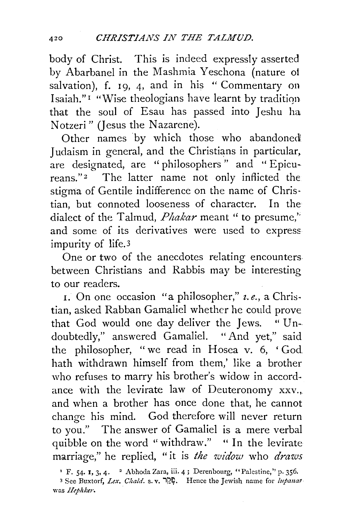body of Christ. This is indeed expressly asserted by Abarbanel in the Mashmia Yeschona (nature of salvation), f. 19, 4, and in his " Commentary on Isaiah."<sup>1</sup> "Wise theologians have learnt by tradition that the soul of Esau has passed into Jeshu ha Notzeri" (Jesus the Nazarene).

Other names by which those who abandoned Judaism in general, and the Christians in particular, are designated, are ''philosophers" and "Epicureans."2 The latter name not only inflicted the stigma of Gentile indifference on the name of Christian, but connoted looseness of character. In the dialect of the Talmud, *Phakar* meant " to presume," and some of its derivatives were used to expressimpurity of life.3

One or two of the anecdotes relating encounters between Christians and Rabbis may be interesting to our readers.

I. On one occasion "a philosopher," *z. e.,* a Christian, asked Rabban Gamaliel whether he could prove that God would one day deliver the Jews. "Undoubtedly," answered Gamaliel. "And yet," said the philosopher, "we read in Hosea v. 6, 'God hath withdrawn himself from them,' like a brother who refuses to marry his brother's widow in accordance with the levirate law of Deuteronomy xxv., and when a brother has once done that, he cannot change his mind. God therefore will never return to you." The answer of Gamaliel is a mere verbal quibble on the word "withdraw." " In the levirate marriage," he replied, "it is *the widow* who *draws* 

<sup>&</sup>lt;sup>1</sup> F. 54. 1, 3, 4. <sup>2</sup> Abhoda Zara, iii. 4; Derenbourg, "Palestine," p. 356.

<sup>3</sup> See Buxtorf, *Lex. Ciiald.* s. v. ij2~. Hence the Jewish name for *lupana1*  was *Hephker.*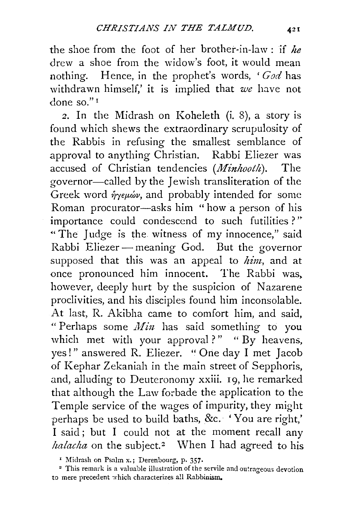the shoe from the foot of her brother-in-law : if *he*  drew a shoe from the widow's foot, it would mean nothing. Hence, in the prophet's words, *'God* has withdrawn himself,' it is implied that we have not done so." 1

*2.* In the Midrash on Koheleth (i. 8), a story is found which shews the extraordinary scrupulosity of the Rabbis in refusing the smallest semblance of approval to anything Christian. Rabbi Eliezer was accused of Christian tendencies *(Minhooth).* The governor-called by the Jewish transliteration of the Greek word  $\hat{\eta}_{\gamma\epsilon\mu\omega\nu}$ , and probably intended for some Roman procurator-asks him " how a person of his importance could condescend to such futilities ? " "The Judge is the witness of my innocence," said Rabbi Eliezer- meaning God. But the governor supposed that this was an appeal to *him,* and at once pronounced him innocent. The Rabbi was, however, deeply hurt by the suspicion of Nazarene proclivities, and his disciples found him inconsolable. At last, R. Akibha came to comfort him, and said, " Perhaps some  $Min$  has said something to you which met with your approval?" " By heavens, yes!" answered R. Eliezer. " One day I met Jacob of Kephar Zekaniah in the main street of Sepphoris, and, alluding to Deuteronomy xxiii. 19, he remarked that although the Law forbade the application to the Temple service of the wages of impurity, they might perhaps be used to build baths, &c. 'You are right,' I said; but I could not at the moment recall any *halacha* on the subject.<sup>2</sup> When I had agreed to his

' Midrash on Psalm x.; Derenbourg, p. 357.

• This remark is a valuable illustration of the servile and outrageous devotion to mere precedent which characterizes all Rabbinism.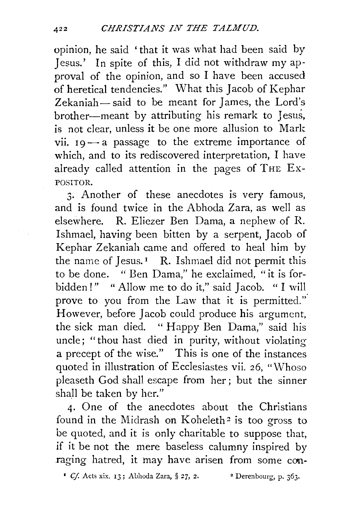opinion, he said 'that it was what had been said by Jesus.' In spite of this, I did not withdraw my approval of the opinion, and so I have been accused of heretical tendencies." What this Jacob of Kephar Zekaniah- said to be meant for James, the Lord's brother-meant by attributing his remark to Jesus, is not clear, unless it be one more allusion to Mark vii.  $19 - a$  passage to the extreme importance of which, and to its rediscovered interpretation, I have already called attention in the pages of THE Ex-POSITOR.

3· Another of these anecdotes is very famous, and is found twice in the Abhoda Zara, as well as elsewhere. R. Eliezer Ben Dama, a nephew of R. Ishmael, having been bitten by a serpent, Jacob of Kephar Zekaniah came and offered to heal him by the name of Jesus.<sup> $1$ </sup> R. Ishmael did not permit this to be done. " Ben Dama," he exclaimed, "it is forbidden!" " Allow me to do it," said Jacob. "I will prove to you from the Law that it is permitted.'' However, before Jacob could produce his argument, the sick man died. "Happy Ben Dama," said his uncle; "thou hast died in purity, without violating a precept of the wise.'' This is one of the instances quoted in illustration of Ecclesiastes vii. 26, "Whoso pleaseth God shall escape from her; but the sinner shall be taken by her.''

4· One of the anecdotes about the Christians found in the Midrash on Koheleth<sup>2</sup> is too gross to be quoted, and it is only charitable to suppose that, if it be not the mere baseless calumny inspired by raging hatred, it may have arisen from some *con-*

<sup>1</sup> *Cf.* Acts xix. 13; Abhoda Zara, § 27, 2. <sup>2</sup> Derenbourg, p. 363.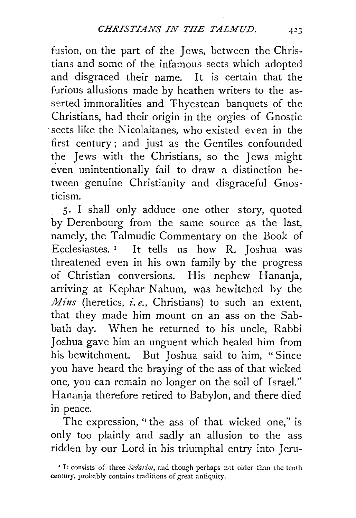fusion, on the part of the Jews, between the Christians and some of the infamous sects which adopted and disgraced their name. It is certain that the furious allusions made by heathen writers to the asserted immoralities and Thyestean banquets of the Christians, had their origin in the orgies of Gnostic sects like the Nicolaitanes, who existed even in the first century; and just as the Gentiles confounded the Jews with the Christians, so the Jews might even unintentionally fail to draw a distinction between genuine Christianity and disgraceful Gnos· ticism.

S· I shall only adduce one other story, quoted by Derenbourg from the same source as the last, namely, the Talmudic Commentary on the Book of Ecclesiastes. 1 It tells us how R. Joshua was threatened even in his own family by the progress of Christian conversions. His nephew Hananja, arriving at Kephar Nahum, was bewitched by the *Mins* (heretics, *i.e.*, *Christians*) to such an extent, that they made him mount on an ass on the Sabbath day. When he returned to his uncle, Rabbi Joshua gave him an unguent which healed him from his bewitchment. But Joshua said to him, " Since you have heard the braying of the ass of that wicked one, you can remain no longer on the soil of Israel.'' Hananja therefore retired to Babylon, and there died in peace.

The expression, " the ass of that wicked one," is only too plainly and sadly an allusion to the ass ridden by our Lord in his triumphal entry into Jeru-

<sup>&</sup>lt;sup>1</sup> It consists of three *Sedarim*, and though perhaps not older than the tenth century, probably contains traditions of great antiquity.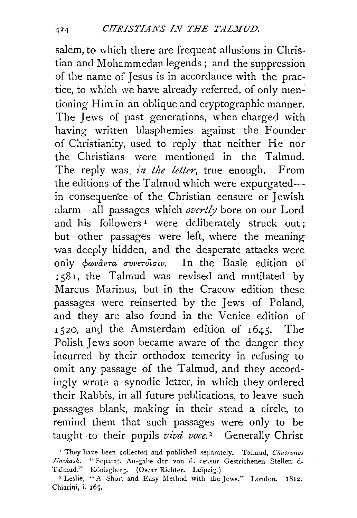salem, to which there are frequent allusions in Christian and Mohammedan legends; and the suppression of the name of Jesus is in accordance with the practice, to which we have already referred, of only mentioning Him in an oblique and cryptographic manner. The Jews of past generations, when charged with having written blasphemies against the Founder of Christianity, used to reply that neither He nor the Christians were mentioned in the Talmud. The reply was, *in the letter*, true enough. From the editions of the Talmud which were expurgatedin conseq uen'ce of the Christian censure or Jewish alarm-all passages which *overtly* bore on our Lord and his followers<sup>1</sup> were deliberately struck out; but other passages were left, where the meaning was deeply hidden, and the desperate attacks were only  $\phi \omega \nu \hat{a} \nu \tau a \sigma \nu \nu \epsilon \tau \hat{o} \nu \tau \nu$ . In the Basle edition of r58r, the Talmud was revised and mutilated by Marcus Marinus, but in the Cracow edition these passages were reinserted by the Jews of Poland, and they are also found in the Venice edition of 1520, and the Amsterdam edition of 1645. The Polish Jews soon became aware of the danger they incurred by their orthodox temerity in refusing to omit any passage of the Talmud, and they accordingly wrote a synodic letter, in which they ordered their Rabbis, in all future publications, to ieave such passages blank, making in their stead a circle, to remind them that such passages were only to be taught to their pupils *vivâ voce*.<sup>2</sup> Generally Christ

<sup>&</sup>lt;sup>1</sup> They have been collected and published separately. Talmud, *Chasronos Jiashash.* "Separat. Au-gabe der von d. ceusur Gestrichenen Stellen d. Talmud." Könisgberg. (Oscar Richter. Leipzig.)

<sup>&</sup>lt;sup>2</sup> Leslie, "A Short and Easy Method with the Jews." London. 1812. Chiarini, i. 165.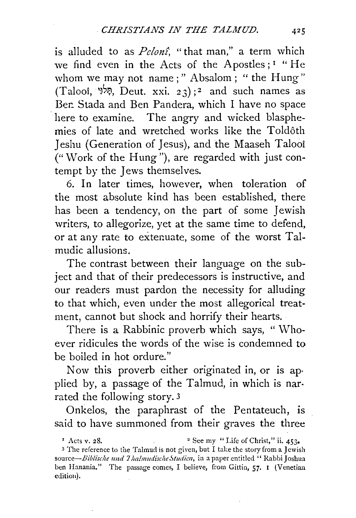is alluded to as *Pelon£,* "that man," a term which we find even in the Acts of the Apostles; 1 " He whom we may not name;" Absalom; "the Hung" (Talooi, <sup>קָלוּ</sup>, Deut. xxi. 23);<sup>2</sup> and such names as Ber: Stada and Ben Pandera, which I have no space here to examine. The angry and wicked blasphemies of late and wretched works like the Toldôth Jeshu (Generation of Jesus), and the Maaseh Talooi ("Work of the Hung"), are regarded with just contempt by the Jews themselves.

6. In later times, however, when toleration of the most absolute kind has been established, there has been a tendency, on the part of some Jewish writers, to allegorize, yet at the same time to defend, or at any rate to extenuate, some of the worst Talmudic allusions.

The contrast between their language on the subject and that of their predecessors is instructive, and our readers must pardon the necessity for alluding to that which, even under the most allegorical treatment, cannot but shock and horrify their hearts.

There is a Rabbinic proverb which says, "Whoever ridicules the words of the wise is condemned to be boiled in hot ordure."

Now this proverb either originated in, or is ap· plied by, a passage of the Talmud, in which is nar· rated the following story. 3

Onkelos, the paraphrast of the Pentateuch, is said to have summoned from their graves the three

<sup>3</sup> The reference to the Talmud is not given, but I take the story from a Jewish source-Biblische und Thalmudische Studien, in a paper entitled " Rabbi Joshua ben Hanania." The passage comes, I believe, from Gittin, 57. I (Venetian edition).

<sup>&</sup>lt;sup>1</sup> Acts v. 28. <sup>2</sup> See my "Life of Christ," ii.  $453\cdot$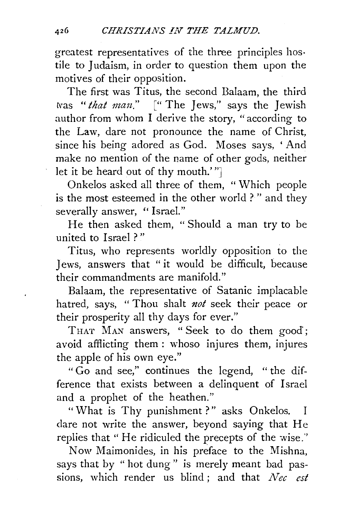greatest representatives of the three principles hostile to Judaism, in order to question them upon the motives of their opposition.

The first was Titus, the second Balaam, the third tvas *"that mau."* [" The Jews," says the Jewish author from whom I derive the story, "according to the Law, dare not pronounce the name of Christ, since his being adored as God. Moses says, 'And make no mention of the name of other gods, neither let it be heard out of thy mouth.'"]

Onkelos asked all three of them, " Which people is the most esteemed in the other world ? " and they severally answer, "Israel."

He then asked them, "Should a man try to be united to Israel ? "

Titus, who represents worldly opposition to the Jews, answers that " it would be difficult, because their commandments are manifold.''

Balaam, the representative of Satanic implacable hatred, says, " Thou shalt *not* seek their peace or their prosperity all thy days for ever."

THAT MAN answers, "Seek to do them good; avoid afflicting them : whoso injures them, injures the apple of his own eye."

"Go and see,'' continues the legend, " the difference that exists between a delinquent of Israel and a prophet of the heathen."

"What is Thy punishment?" asks Onkelos. dare not write the answer, beyond saying that He replies that "He ridiculed the precepts of the wise.''

Now Maimonides, in his preface to the Mishna, says that by " hot dung" is merely meant bad passions, which render us blind; and that *Nee est*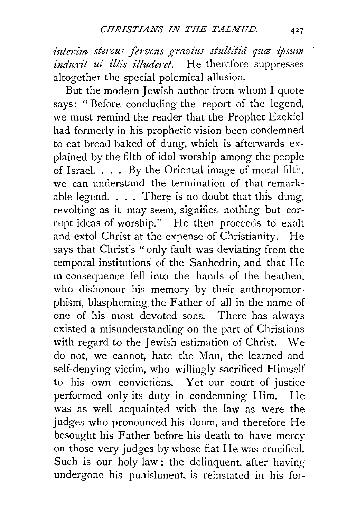interim stercus fervens gravius stultitiå quæ ipsum *induxit ui illis illuderet*. He therefore suppresses altogether the special polemical allusion.

But the modern Jewish author from whom I quote says: " Before concluding the report of the legend, we must remind the reader that the Prophet Ezekiel had formerly in his prophetic vision been condemned to eat bread baked of dung, which is afterwards explained by the filth of idol worship among the people of Israel.  $\ldots$  By the Oriental image of moral filth, we can understand the termination of that remarkable legend.  $\ldots$  There is no doubt that this dung, revolting as it may seem, signifies nothing but corrupt ideas of worship." He then proceeds to exalt and extol Christ at the expense of Christianity. He says that Christ's "only fault was deviating from the temporal institutions of the Sanhedrin, and that He in consequence fell into the hands of the heathen, who dishonour his memory by their anthropomorphism, blaspheming the Father of all in the name of one of his most devoted sons. There has always existed a misunderstanding on the part of Christians with regard to the Jewish estimation of Christ. We do not, we cannot, hate the Man, the learned and self-denying victim, who willingly sacrificed Himself to his own convictions. Yet our court of justice performed only its duty in condemning Him. He was as well acquainted with the law as were the judges who pronounced his doom, and therefore He besought his Father before his death to have mercy on those very judges by whose fiat He was crucified. Such is our holy law : the delinquent, after having undergone his punishment. is reinstated in his for-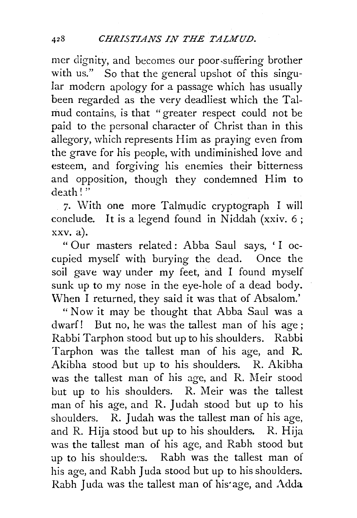mer dignity, and becomes our poor-suffering brother with us." So that the general upshot of this singular modern apology for a passage which has usually been regarded as the very deadliest which the Talmud contains, is that "greater respect could not be paid to the personal character of Christ than in this allegory, which represents Him as praying even from the grave for his people, with undiminished love and esteem, and forgiving his enemies their bitterness and opposition, though they condemned Him to  $depth$ !"

7. With one more Talmudic cryptograph I will conclude. It is a legend found in Niddah (xxiv. 6;  $xxv. a$ ).

" Our masters related: Abba Saul says, ' I occupied myself with burying the dead. Once the soil gave way under my feet, and I found myself sunk up to my nose in the eye-hole of a dead body. When I returned, they said it was that of Absalom.'

" Now it may be thought that Abba Saul was a dwarf! But no, he was the tallest man of his age ; Rabbi Tarphon stood but up to his shoulders. Rabbi Tarphon was the tallest man of his age, and R. Akibha stood but up to his shoulders. R. Akibha was the tallest man of his age, and R. Meir stood but up to his shoulders. R. Meir was the tallest man of his age, and R. Judah stood but up to his shoulders. R. Judah was the tallest man of his age, and R. Hija stood but up to his shoulders. R. Hija was the tallest man of his age, and Rabh stood but up to his shoulde:s. Rabh was the tallest man of his age, and Rabh Juda stood but up to his shoulders. Rabh Juda was the tallest man of his'age, and Adda